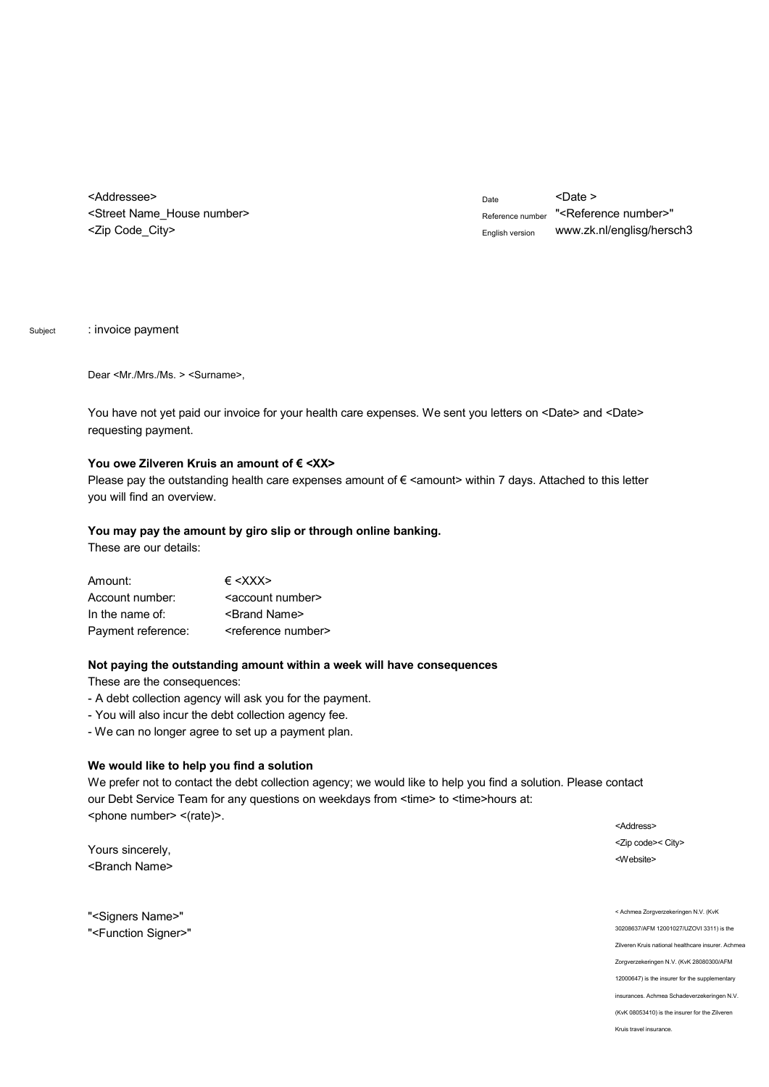<Addressee> <Street Name\_House number> <Zip Code\_City>

Date <Date > Reference number "<Reference number>" English version w[ww.zk.nl/englisg/hersch3](www.zk.nl/englisg/hersch3)

Subject : invoice payment

Dear <Mr./Mrs./Ms. > <Surname>,

You have not yet paid our invoice for your health care expenses. We sent you letters on <Date> and <Date> requesting payment.

#### You owe Zilveren Kruis an amount of € <XX>

Please pay the outstanding health care expenses amount of  $\epsilon$  <amount> within 7 days. Attached to this letter you will find an overview.

#### **You may pay the amount by giro slip or through online banking.**

These are our details:

| Amount:            | $\epsilon$ <xxx></xxx>            |
|--------------------|-----------------------------------|
| Account number:    | <account number=""></account>     |
| In the name of:    | <brand name=""></brand>           |
| Payment reference: | <reference number=""></reference> |

## **Not paying the outstanding amount within a week will have consequences**

These are the consequences:

- A debt collection agency will ask you for the payment.
- You will also incur the debt collection agency fee.
- We can no longer agree to set up a payment plan.

## **We would like to help you find a solution**

We prefer not to contact the debt collection agency; we would like to help you find a solution. Please contact our Debt Service Team for any questions on weekdays from <time> to <time>hours at: <phone number> <(rate)>.

Yours sincerely, <Branch Name>

"<Signers Name>" "<Function Signer>" <Address> <Zip code>< City> <Website>

< Achmea Zorgverzekeringen N.V. (KvK 30208637/AFM 12001027/UZOVI 3311) is the Zilveren Kruis national healthcare insurer. Achmea Zorgverzekeringen N.V. (KvK 28080300/AFM 12000647) is the insurer for the supplementary insurances. Achmea Schadeverzekeringen N.V. (KvK 08053410) is the insurer for the Zilveren Kruis travel insurance.